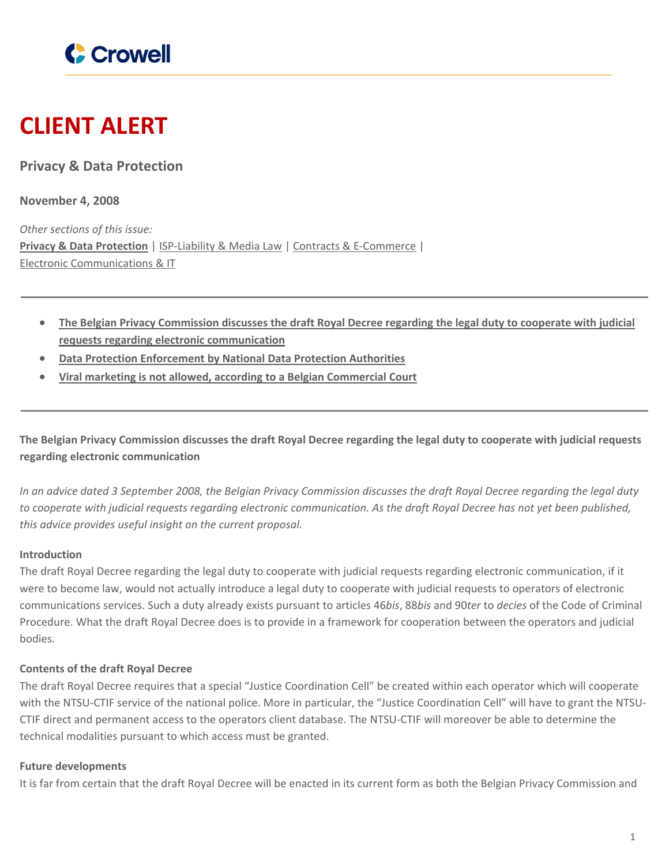

# **CLIENT ALERT**

**Privacy & Data Protection**

**November 4, 2008**

*Other sections of this issue:* **Privacy & Data [Protection](https://www.crowell.com/newsevents/alertsnewsletters/all/1352080)** | [ISP-Liability](https://www.crowell.com/newsevents/alertsnewsletters/all/1352081) & Media Law | Contracts & [E-Commerce](https://www.crowell.com/newsevents/alertsnewsletters/all/1352082) | Electronic [Communications](https://www.crowell.com/newsevents/alertsnewsletters/all/1352083) & IT

- The Belgian Privacy [Commission](#page-0-0) discusses the draft Royal Decree regarding the legal duty to cooperate with judicial **requests regarding electronic [communication](#page-0-0)**
- **Data Protection [Enforcement](#page-1-0) by National Data Protection Authorities**
- **Viral marketing is not allowed, according to a Belgian [Commercial](#page-2-0) Court**

<span id="page-0-0"></span>The Belgian Privacy Commission discusses the draft Royal Decree regarding the legal duty to cooperate with judicial requests **regarding electronic communication**

In an advice dated 3 September 2008, the Belgian Privacy Commission discusses the draft Royal Decree regarding the legal duty to cooperate with judicial requests regarding electronic communication. As the draft Royal Decree has not yet been published, *this advice provides useful insight on the current proposal.*

# **Introduction**

The draft Royal Decree regarding the legal duty to cooperate with judicial requests regarding electronic communication, if it were to become law, would not actually introduce a legal duty to cooperate with judicial requests to operators of electronic communications services. Such a duty already exists pursuant to articles 46*bis*, 88*bis* and 90*ter* to *decies* of the Code of Criminal Procedure. What the draft Royal Decree does is to provide in a framework for cooperation between the operators and judicial bodies.

# **Contents of the draft Royal Decree**

The draft Royal Decree requires that a special "Justice Coordination Cell" be created within each operator which will cooperate with the NTSU-CTIF service of the national police. More in particular, the "Justice Coordination Cell" will have to grant the NTSU-CTIF direct and permanent access to the operators client database. The NTSU-CTIF will moreover be able to determine the technical modalities pursuant to which access must be granted.

# **Future developments**

It is far from certain that the draft Royal Decree will be enacted in its current form as both the Belgian Privacy Commission and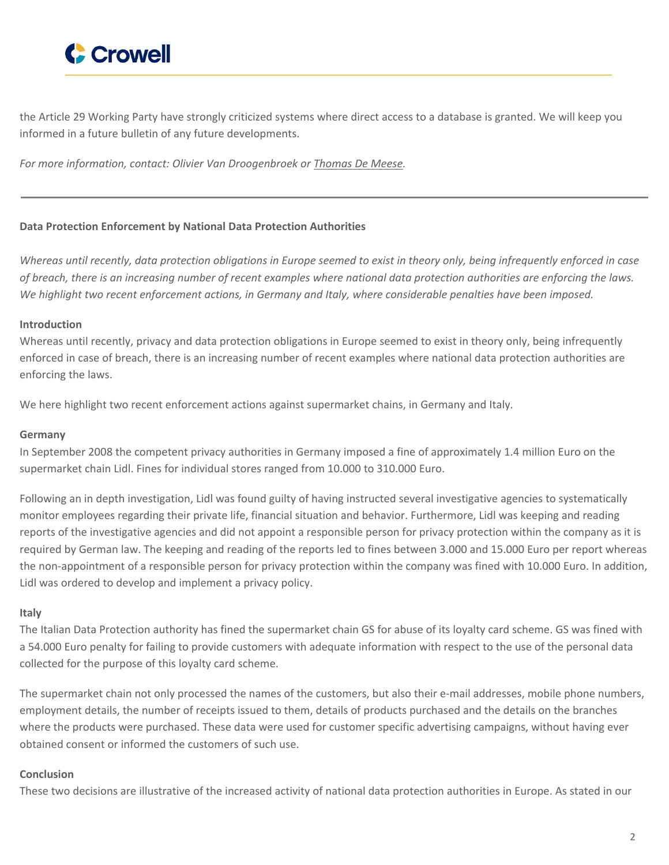

the Article 29 Working Party have strongly criticized systems where direct access to a database is granted. We will keep you informed in a future bulletin of any future developments.

*For more information, contact: Olivier Van Droogenbroek or [Thomas](http://www.crowell.com/Professionals/Thomas-De-Meese) De Meese.*

# <span id="page-1-0"></span>**Data Protection Enforcement by National Data Protection Authorities**

Whereas until recently, data protection obligations in Europe seemed to exist in theory only, being infrequently enforced in case of breach, there is an increasing number of recent examples where national data protection authorities are enforcing the laws. We highlight two recent enforcement actions, in Germany and Italy, where considerable penalties have been imposed.

## **Introduction**

Whereas until recently, privacy and data protection obligations in Europe seemed to exist in theory only, being infrequently enforced in case of breach, there is an increasing number of recent examples where national data protection authorities are enforcing the laws.

We here highlight two recent enforcement actions against supermarket chains, in Germany and Italy.

#### **Germany**

In September 2008 the competent privacy authorities in Germany imposed a fine of approximately 1.4 million Euro on the supermarket chain Lidl. Fines for individual stores ranged from 10.000 to 310.000 Euro.

Following an in depth investigation, Lidl was found guilty of having instructed several investigative agencies to systematically monitor employees regarding their private life, financial situation and behavior. Furthermore, Lidl was keeping and reading reports of the investigative agencies and did not appoint a responsible person for privacy protection within the company as it is required by German law. The keeping and reading of the reports led to fines between 3.000 and 15.000 Euro per report whereas the non-appointment of a responsible person for privacy protection within the company was fined with 10.000 Euro. In addition, Lidl was ordered to develop and implement a privacy policy.

#### **Italy**

The Italian Data Protection authority has fined the supermarket chain GS for abuse of its loyalty card scheme. GS was fined with a 54.000 Euro penalty for failing to provide customers with adequate information with respect to the use of the personal data collected for the purpose of this loyalty card scheme.

The supermarket chain not only processed the names of the customers, but also their e-mail addresses, mobile phone numbers, employment details, the number of receipts issued to them, details of products purchased and the details on the branches where the products were purchased. These data were used for customer specific advertising campaigns, without having ever obtained consent or informed the customers of such use.

# **Conclusion**

These two decisions are illustrative of the increased activity of national data protection authorities in Europe. As stated in our